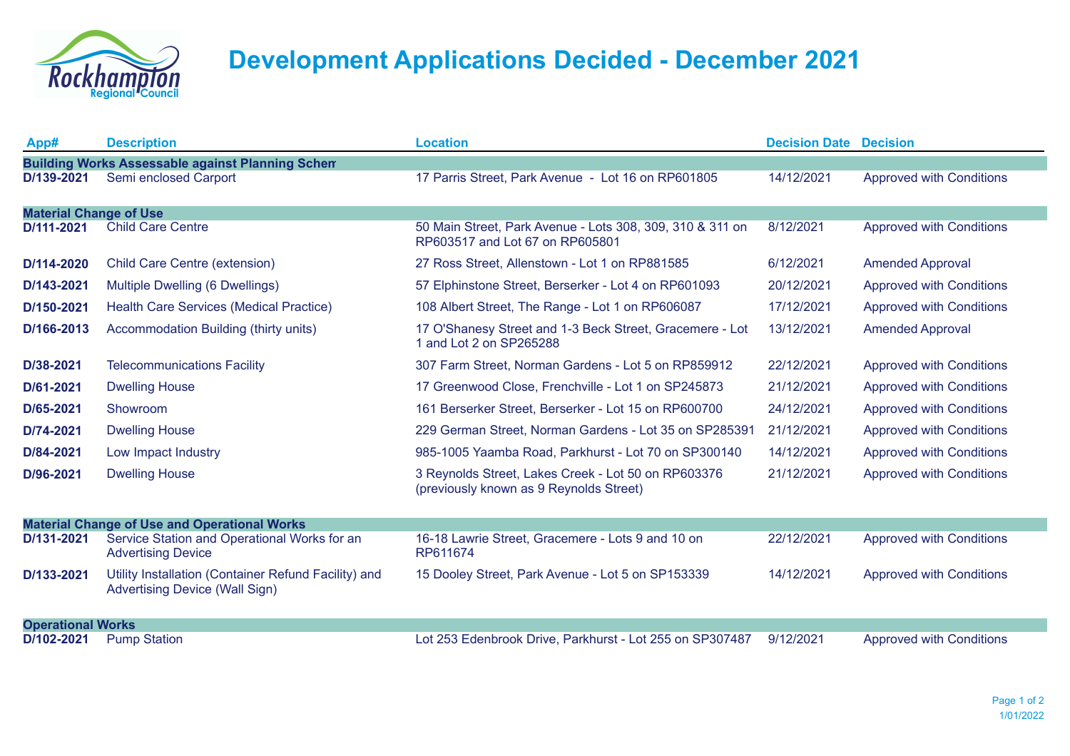

## **Development Applications Decided - December 2021**

| App#                                                    | <b>Description</b>                                                                            | <b>Location</b>                                                                                | <b>Decision Date Decision</b> |                                 |  |  |  |
|---------------------------------------------------------|-----------------------------------------------------------------------------------------------|------------------------------------------------------------------------------------------------|-------------------------------|---------------------------------|--|--|--|
| <b>Building Works Assessable against Planning Schem</b> |                                                                                               |                                                                                                |                               |                                 |  |  |  |
| D/139-2021                                              | Semi enclosed Carport                                                                         | 17 Parris Street, Park Avenue - Lot 16 on RP601805                                             | 14/12/2021                    | <b>Approved with Conditions</b> |  |  |  |
|                                                         |                                                                                               |                                                                                                |                               |                                 |  |  |  |
| <b>Material Change of Use</b><br>D/111-2021             | <b>Child Care Centre</b>                                                                      | 50 Main Street, Park Avenue - Lots 308, 309, 310 & 311 on<br>RP603517 and Lot 67 on RP605801   | 8/12/2021                     | <b>Approved with Conditions</b> |  |  |  |
| D/114-2020                                              | Child Care Centre (extension)                                                                 | 27 Ross Street, Allenstown - Lot 1 on RP881585                                                 | 6/12/2021                     | <b>Amended Approval</b>         |  |  |  |
| D/143-2021                                              | Multiple Dwelling (6 Dwellings)                                                               | 57 Elphinstone Street, Berserker - Lot 4 on RP601093                                           | 20/12/2021                    | <b>Approved with Conditions</b> |  |  |  |
| D/150-2021                                              | Health Care Services (Medical Practice)                                                       | 108 Albert Street, The Range - Lot 1 on RP606087                                               | 17/12/2021                    | <b>Approved with Conditions</b> |  |  |  |
| D/166-2013                                              | Accommodation Building (thirty units)                                                         | 17 O'Shanesy Street and 1-3 Beck Street, Gracemere - Lot<br>1 and Lot 2 on SP265288            | 13/12/2021                    | <b>Amended Approval</b>         |  |  |  |
| D/38-2021                                               | <b>Telecommunications Facility</b>                                                            | 307 Farm Street, Norman Gardens - Lot 5 on RP859912                                            | 22/12/2021                    | <b>Approved with Conditions</b> |  |  |  |
| D/61-2021                                               | <b>Dwelling House</b>                                                                         | 17 Greenwood Close, Frenchville - Lot 1 on SP245873                                            | 21/12/2021                    | <b>Approved with Conditions</b> |  |  |  |
| D/65-2021                                               | Showroom                                                                                      | 161 Berserker Street, Berserker - Lot 15 on RP600700                                           | 24/12/2021                    | <b>Approved with Conditions</b> |  |  |  |
| D/74-2021                                               | <b>Dwelling House</b>                                                                         | 229 German Street, Norman Gardens - Lot 35 on SP285391                                         | 21/12/2021                    | <b>Approved with Conditions</b> |  |  |  |
| D/84-2021                                               | Low Impact Industry                                                                           | 985-1005 Yaamba Road, Parkhurst - Lot 70 on SP300140                                           | 14/12/2021                    | <b>Approved with Conditions</b> |  |  |  |
| D/96-2021                                               | <b>Dwelling House</b>                                                                         | 3 Reynolds Street, Lakes Creek - Lot 50 on RP603376<br>(previously known as 9 Reynolds Street) | 21/12/2021                    | <b>Approved with Conditions</b> |  |  |  |
| <b>Material Change of Use and Operational Works</b>     |                                                                                               |                                                                                                |                               |                                 |  |  |  |
| D/131-2021                                              | Service Station and Operational Works for an<br><b>Advertising Device</b>                     | 16-18 Lawrie Street, Gracemere - Lots 9 and 10 on<br>RP611674                                  | 22/12/2021                    | <b>Approved with Conditions</b> |  |  |  |
| D/133-2021                                              | Utility Installation (Container Refund Facility) and<br><b>Advertising Device (Wall Sign)</b> | 15 Dooley Street, Park Avenue - Lot 5 on SP153339                                              | 14/12/2021                    | <b>Approved with Conditions</b> |  |  |  |
| <b>Operational Works</b>                                |                                                                                               |                                                                                                |                               |                                 |  |  |  |
| D/102-2021                                              | <b>Pump Station</b>                                                                           | Lot 253 Edenbrook Drive, Parkhurst - Lot 255 on SP307487                                       | 9/12/2021                     | <b>Approved with Conditions</b> |  |  |  |